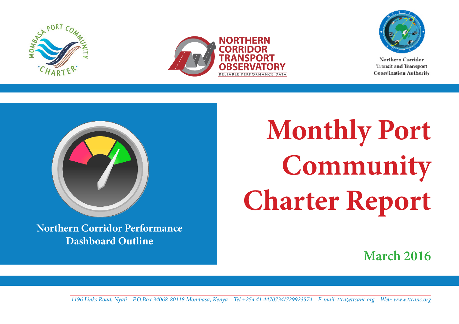





Northern Corridor Transit and Transport **Coordination Authority** 



**Northern Corridor Performance Dashboard Outline**

**Monthly Port Community Charter Report**

**March 2016**

**1** *1196 Links Road, Nyali P.O.Box 34068-80118 Mombasa, Kenya Tel +254 41 4470734/729923574 E-mail: ttca@ttcanc.org Web: www.ttcanc.org*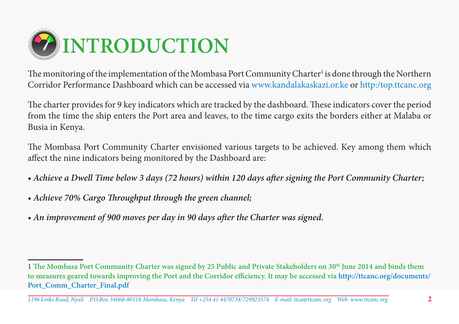

The monitoring of the implementation of the Mombasa Port Community Charter<sup>1</sup> is done through the Northern Corridor Performance Dashboard which can be accessed via www.kandalakaskazi.or.ke or http:/top.ttcanc.org

The charter provides for 9 key indicators which are tracked by the dashboard. These indicators cover the period from the time the ship enters the Port area and leaves, to the time cargo exits the borders either at Malaba or Busia in Kenya.

The Mombasa Port Community Charter envisioned various targets to be achieved. Key among them which affect the nine indicators being monitored by the Dashboard are:

- *Achieve a Dwell Time below 3 days (72 hours) within 120 days after signing the Port Community Charter;*
- *Achieve 70% Cargo Throughput through the green channel;*
- *An improvement of 900 moves per day in 90 days after the Charter was signed.*

<sup>1</sup> **The Mombasa Port Community Charter was signed by 25 Public and Private Stakeholders on 30th June 2014 and binds them to measures geared towards improving the Port and the Corridor efficiency. It may be accessed via http://ttcanc.org/documents/ Port\_Comm\_Charter\_Final.pdf**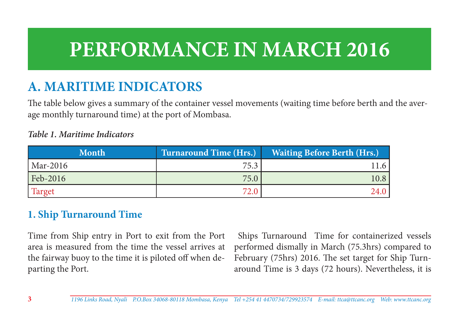# **PERFORMANCE IN MARCH 2016**

# **A. MARITIME INDICATORS**

The table below gives a summary of the container vessel movements (waiting time before berth and the average monthly turnaround time) at the port of Mombasa.

#### *Table 1. Maritime Indicators*

| <b>Month</b> | <b>Turnaround Time (Hrs.)</b> | <b>Waiting Before Berth (Hrs.)</b> |
|--------------|-------------------------------|------------------------------------|
| Mar-2016     | 75.3                          | 11.6                               |
| Feb-2016     | 75.0                          | 10.8                               |
| Target       | 72.0                          | 24.0                               |

#### **1. Ship Turnaround Time**

Time from Ship entry in Port to exit from the Port area is measured from the time the vessel arrives at the fairway buoy to the time it is piloted off when departing the Port.

 Ships Turnaround Time for containerized vessels performed dismally in March (75.3hrs) compared to February (75hrs) 2016. The set target for Ship Turnaround Time is 3 days (72 hours). Nevertheless, it is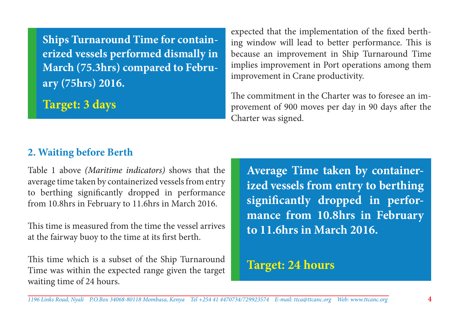**Ships Turnaround Time for containerized vessels performed dismally in March (75.3hrs) compared to February (75hrs) 2016.**

**Target: 3 days**

expected that the implementation of the fixed berthing window will lead to better performance. This is because an improvement in Ship Turnaround Time implies improvement in Port operations among them improvement in Crane productivity.

The commitment in the Charter was to foresee an improvement of 900 moves per day in 90 days after the Charter was signed.

#### **2. Waiting before Berth**

Table 1 above *(Maritime indicators)* shows that the average time taken by containerized vessels from entry to berthing significantly dropped in performance from 10.8hrs in February to 11.6hrs in March 2016.

This time is measured from the time the vessel arrives at the fairway buoy to the time at its first berth.

This time which is a subset of the Ship Turnaround Time was within the expected range given the target waiting time of 24 hours.

**Average Time taken by containerized vessels from entry to berthing significantly dropped in performance from 10.8hrs in February to 11.6hrs in March 2016.**

# **Target: 24 hours**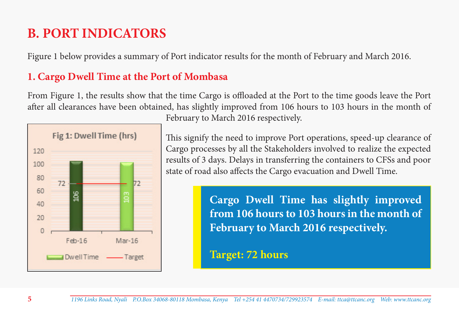# **B. PORT INDICATORS**

Figure 1 below provides a summary of Port indicator results for the month of February and March 2016.

# **1. Cargo Dwell Time at the Port of Mombasa**

From Figure 1, the results show that the time Cargo is offloaded at the Port to the time goods leave the Port after all clearances have been obtained, has slightly improved from 106 hours to 103 hours in the month of



February to March 2016 respectively.

This signify the need to improve Port operations, speed-up clearance of Cargo processes by all the Stakeholders involved to realize the expected results of 3 days. Delays in transferring the containers to CFSs and poor state of road also affects the Cargo evacuation and Dwell Time.

> **Cargo Dwell Time has slightly improved from 106 hours to 103 hours in the month of February to March 2016 respectively.**

**Target: 72 hours**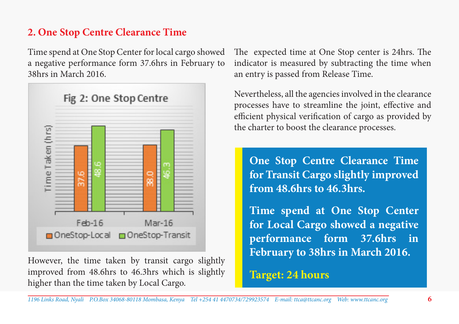#### **2. One Stop Centre Clearance Time**

Time spend at One Stop Center for local cargo showed a negative performance form 37.6hrs in February to 38hrs in March 2016.



However, the time taken by transit cargo slightly improved from 48.6hrs to 46.3hrs which is slightly higher than the time taken by Local Cargo.

The expected time at One Stop center is 24hrs. The indicator is measured by subtracting the time when an entry is passed from Release Time.

Nevertheless, all the agencies involved in the clearance processes have to streamline the joint, effective and efficient physical verification of cargo as provided by the charter to boost the clearance processes.

**One Stop Centre Clearance Time for Transit Cargo slightly improved from 48.6hrs to 46.3hrs.** 

**Time spend at One Stop Center for Local Cargo showed a negative performance form 37.6hrs in February to 38hrs in March 2016.** 

**Target: 24 hours**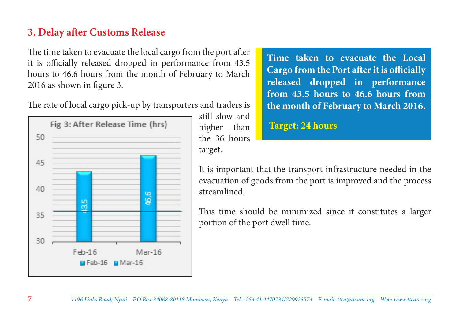#### **3. Delay after Customs Release**

The time taken to evacuate the local cargo from the port after it is officially released dropped in performance from 43.5 hours to 46.6 hours from the month of February to March 2016 as shown in figure 3.

The rate of local cargo pick-up by transporters and traders is



still slow and higher than the 36 hours target.

**Time taken to evacuate the Local Cargo from the Port after it is officially released dropped in performance from 43.5 hours to 46.6 hours from the month of February to March 2016.**

#### **Target: 24 hours**

It is important that the transport infrastructure needed in the evacuation of goods from the port is improved and the process streamlined.

This time should be minimized since it constitutes a larger portion of the port dwell time.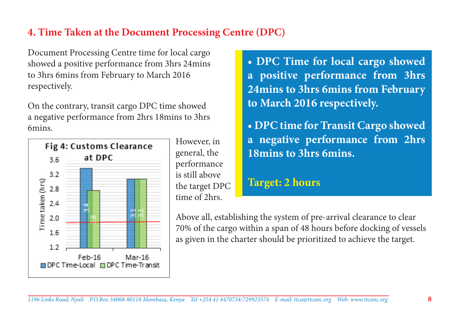#### **4. Time Taken at the Document Processing Centre (DPC)**

Document Processing Centre time for local cargo showed a positive performance from 3hrs 24mins to 3hrs 6mins from February to March 2016 respectively.

On the contrary, transit cargo DPC time showed a negative performance from 2hrs 18mins to 3hrs 6mins.



However, in general, the performance is still above the target DPC time of 2hrs.

**• DPC Time for local cargo showed a positive performance from 3hrs 24mins to 3hrs 6mins from February to March 2016 respectively.** 

**• DPC time for Transit Cargo showed a negative performance from 2hrs 18mins to 3hrs 6mins.** 

#### **Target: 2 hours**

Above all, establishing the system of pre-arrival clearance to clear 70% of the cargo within a span of 48 hours before docking of vessels as given in the charter should be prioritized to achieve the target.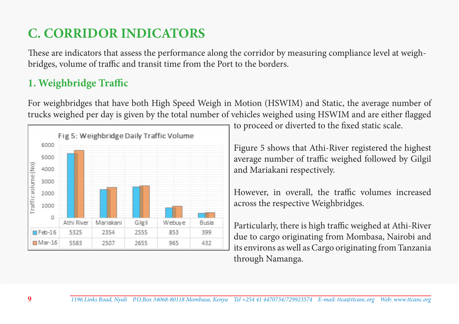# **C. CORRIDOR INDICATORS**

These are indicators that assess the performance along the corridor by measuring compliance level at weighbridges, volume of traffic and transit time from the Port to the borders.

# **1. Weighbridge Traffic**

For weighbridges that have both High Speed Weigh in Motion (HSWIM) and Static, the average number of trucks weighed per day is given by the total number of vehicles weighed using HSWIM and are either flagged



to proceed or diverted to the fixed static scale.

Figure 5 shows that Athi-River registered the highest average number of traffic weighed followed by Gilgil and Mariakani respectively.

However, in overall, the traffic volumes increased across the respective Weighbridges.

Particularly, there is high traffic weighed at Athi-River due to cargo originating from Mombasa, Nairobi and its environs as well as Cargo originating from Tanzania through Namanga.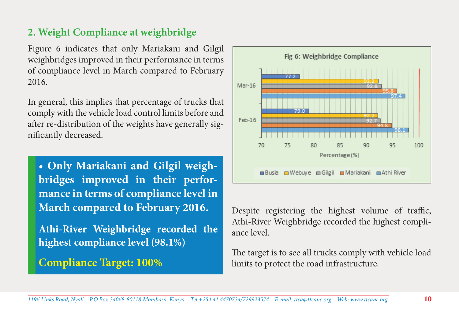### **2. Weight Compliance at weighbridge**

Figure 6 indicates that only Mariakani and Gilgil weighbridges improved in their performance in terms of compliance level in March compared to February 2016.

In general, this implies that percentage of trucks that comply with the vehicle load control limits before and after re-distribution of the weights have generally significantly decreased.

**• Only Mariakani and Gilgil weighbridges improved in their performance in terms of compliance level in March compared to February 2016.** 

**Athi-River Weighbridge recorded the highest compliance level (98.1%)**

# **Compliance Target: 100%**



Despite registering the highest volume of traffic, Athi-River Weighbridge recorded the highest compliance level.

The target is to see all trucks comply with vehicle load limits to protect the road infrastructure.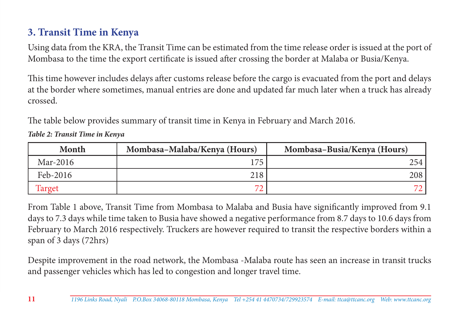# **3. Transit Time in Kenya**

Using data from the KRA, the Transit Time can be estimated from the time release order is issued at the port of Mombasa to the time the export certificate is issued after crossing the border at Malaba or Busia/Kenya.

This time however includes delays after customs release before the cargo is evacuated from the port and delays at the border where sometimes, manual entries are done and updated far much later when a truck has already crossed.

The table below provides summary of transit time in Kenya in February and March 2016.

*Table 2: Transit Time in Kenya*

| Month    | Mombasa-Malaba/Kenya (Hours) | Mombasa-Busia/Kenya (Hours) |
|----------|------------------------------|-----------------------------|
| Mar-2016 | $\overline{17}$              | 254                         |
| Feb-2016 | 218                          | 208                         |
| Target   |                              |                             |

From Table 1 above, Transit Time from Mombasa to Malaba and Busia have significantly improved from 9.1 days to 7.3 days while time taken to Busia have showed a negative performance from 8.7 days to 10.6 days from February to March 2016 respectively. Truckers are however required to transit the respective borders within a span of 3 days (72hrs)

Despite improvement in the road network, the Mombasa -Malaba route has seen an increase in transit trucks and passenger vehicles which has led to congestion and longer travel time.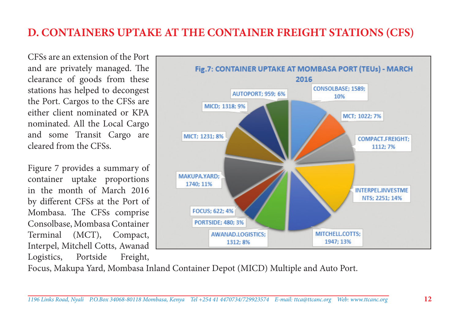# **D. CONTAINERS UPTAKE AT THE CONTAINER FREIGHT STATIONS (CFS)**

CFSs are an extension of the Port and are privately managed. The clearance of goods from these stations has helped to decongest the Port. Cargos to the CFSs are either client nominated or KPA nominated. All the Local Cargo and some Transit Cargo are cleared from the CFSs.

Figure 7 provides a summary of container uptake proportions in the month of March 2016 by different CFSs at the Port of Mombasa. The CFSs comprise Consolbase, Mombasa Container Terminal (MCT), Compact, Interpel, Mitchell Cotts, Awanad Logistics, Portside Freight,



Focus, Makupa Yard, Mombasa Inland Container Depot (MICD) Multiple and Auto Port.